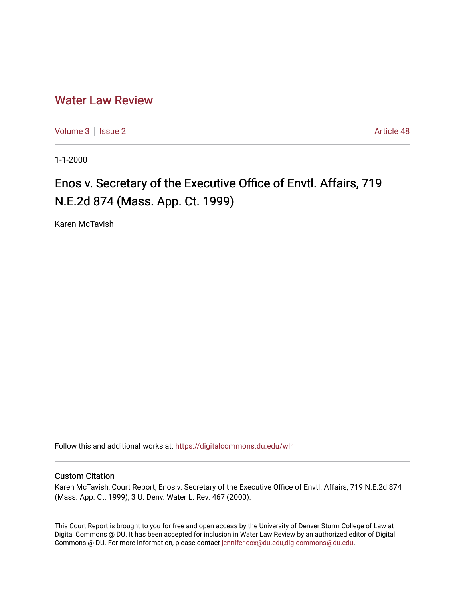## [Water Law Review](https://digitalcommons.du.edu/wlr)

[Volume 3](https://digitalcommons.du.edu/wlr/vol3) | [Issue 2](https://digitalcommons.du.edu/wlr/vol3/iss2) Article 48

1-1-2000

## Enos v. Secretary of the Executive Office of Envtl. Affairs, 719 N.E.2d 874 (Mass. App. Ct. 1999)

Karen McTavish

Follow this and additional works at: [https://digitalcommons.du.edu/wlr](https://digitalcommons.du.edu/wlr?utm_source=digitalcommons.du.edu%2Fwlr%2Fvol3%2Fiss2%2F48&utm_medium=PDF&utm_campaign=PDFCoverPages) 

## Custom Citation

Karen McTavish, Court Report, Enos v. Secretary of the Executive Office of Envtl. Affairs, 719 N.E.2d 874 (Mass. App. Ct. 1999), 3 U. Denv. Water L. Rev. 467 (2000).

This Court Report is brought to you for free and open access by the University of Denver Sturm College of Law at Digital Commons @ DU. It has been accepted for inclusion in Water Law Review by an authorized editor of Digital Commons @ DU. For more information, please contact [jennifer.cox@du.edu,dig-commons@du.edu.](mailto:jennifer.cox@du.edu,dig-commons@du.edu)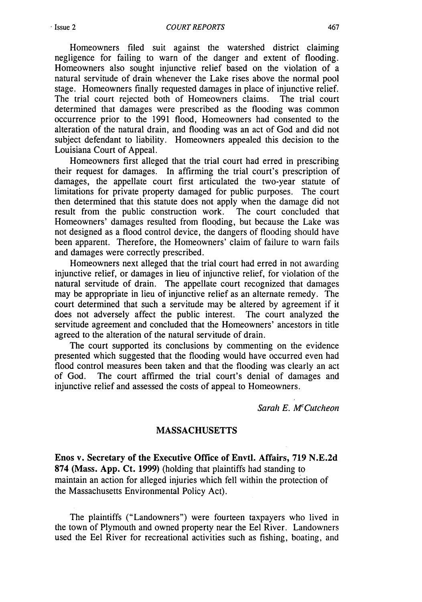Homeowners filed suit against the watershed district claiming negligence for failing to warn of the danger and extent of flooding. Homeowners also sought injunctive relief based on the violation of a natural servitude of drain whenever the Lake rises above the normal pool stage. Homeowners finally requested damages in place of injunctive relief. The trial court rejected both of Homeowners claims. The trial court determined that damages were prescribed as the flooding was common occurrence prior to the 1991 flood, Homeowners had consented to the alteration of the natural drain, and flooding was an act of God and did not subject defendant to liability. Homeowners appealed this decision to the Louisiana Court of Appeal.

Homeowners first alleged that the trial court had erred in prescribing their request for damages. In affirming the trial court's prescription of damages, the appellate court first articulated the two-year statute of limitations for private property damaged for public purposes. The court then determined that this statute does not apply when the damage did not result from the public construction work. The court concluded that Homeowners' damages resulted from flooding, but because the Lake was not designed as a flood control device, the dangers of flooding should have been apparent. Therefore, the Homeowners' claim of failure to warn fails and damages were correctly prescribed.

Homeowners next alleged that the trial court had erred in not awarding injunctive relief, or damages in lieu of injunctive relief, for violation of the natural servitude of drain. The appellate court recognized that damages may be appropriate in lieu of injunctive relief as an alternate remedy. The court determined that such a servitude may be altered by agreement if it does not adversely affect the public interest. The court analyzed the servitude agreement and concluded that the Homeowners' ancestors in title agreed to the alteration of the natural servitude of drain.

The court supported its conclusions by commenting on the evidence presented which suggested that the flooding would have occurred even had flood control measures been taken and that the flooding was clearly an act of God. The court affirmed the trial court's denial of damages and injunctive relief and assessed the costs of appeal to Homeowners.

Sarah **E.** *McCutcheon*

## MASSACHUSETTS

Enos v. Secretary of the Executive Office of Envtl. Affairs, 719 N.E.2d 874 (Mass. App. Ct. **1999)** (holding that plaintiffs had standing to maintain an action for alleged injuries which fell within the protection of the Massachusetts Environmental Policy Act).

The plaintiffs ("Landowners") were fourteen taxpayers who lived in the town of Plymouth and owned property near the Eel River. Landowners used the Eel River for recreational activities such as fishing, boating, and